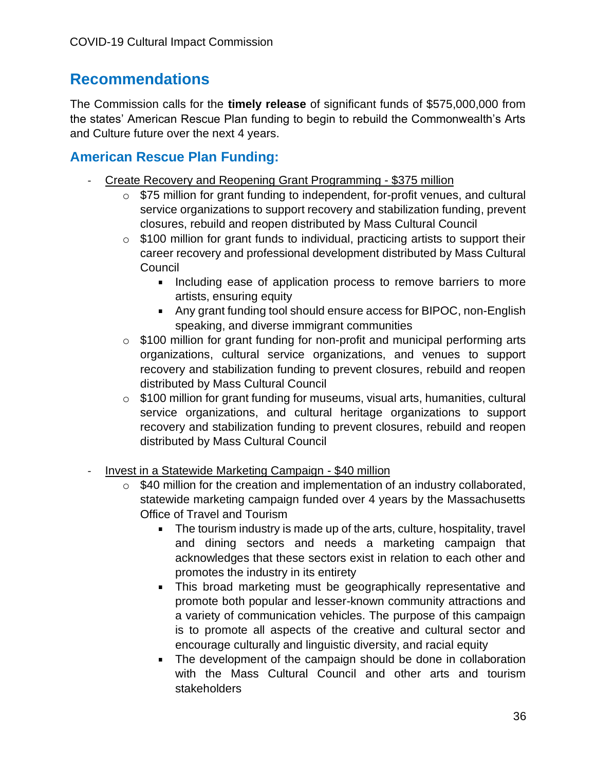# **Recommendations**

The Commission calls for the **timely release** of significant funds of \$575,000,000 from the states' American Rescue Plan funding to begin to rebuild the Commonwealth's Arts and Culture future over the next 4 years.

# **American Rescue Plan Funding:**

- Create Recovery and Reopening Grant Programming \$375 million
	- o \$75 million for grant funding to independent, for-profit venues, and cultural service organizations to support recovery and stabilization funding, prevent closures, rebuild and reopen distributed by Mass Cultural Council
	- $\circ$  \$100 million for grant funds to individual, practicing artists to support their career recovery and professional development distributed by Mass Cultural Council
		- **Including ease of application process to remove barriers to more** artists, ensuring equity
		- Any grant funding tool should ensure access for BIPOC, non-English speaking, and diverse immigrant communities
	- o \$100 million for grant funding for non-profit and municipal performing arts organizations, cultural service organizations, and venues to support recovery and stabilization funding to prevent closures, rebuild and reopen distributed by Mass Cultural Council
	- o \$100 million for grant funding for museums, visual arts, humanities, cultural service organizations, and cultural heritage organizations to support recovery and stabilization funding to prevent closures, rebuild and reopen distributed by Mass Cultural Council
- Invest in a Statewide Marketing Campaign \$40 million
	- o \$40 million for the creation and implementation of an industry collaborated, statewide marketing campaign funded over 4 years by the Massachusetts Office of Travel and Tourism
		- The tourism industry is made up of the arts, culture, hospitality, travel and dining sectors and needs a marketing campaign that acknowledges that these sectors exist in relation to each other and promotes the industry in its entirety
		- This broad marketing must be geographically representative and promote both popular and lesser-known community attractions and a variety of communication vehicles. The purpose of this campaign is to promote all aspects of the creative and cultural sector and encourage culturally and linguistic diversity, and racial equity
		- The development of the campaign should be done in collaboration with the Mass Cultural Council and other arts and tourism stakeholders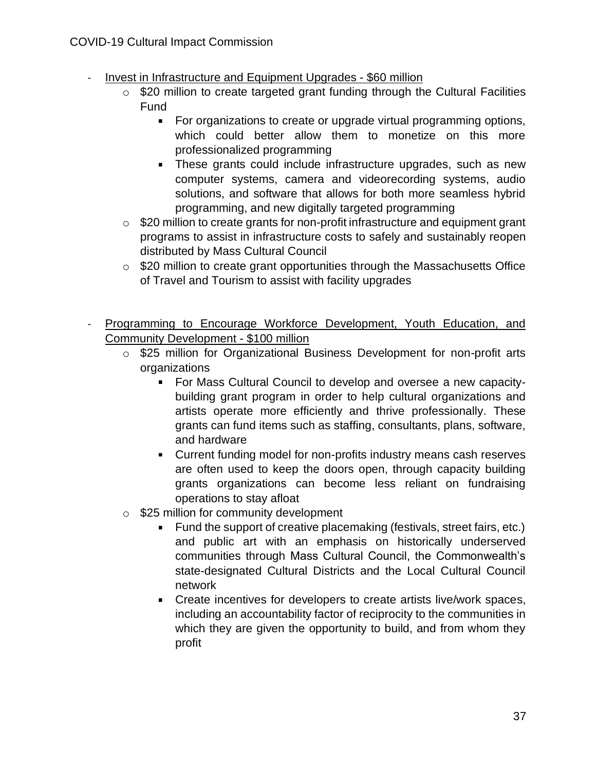- Invest in Infrastructure and Equipment Upgrades \$60 million
	- o \$20 million to create targeted grant funding through the Cultural Facilities Fund
		- For organizations to create or upgrade virtual programming options, which could better allow them to monetize on this more professionalized programming
		- **These grants could include infrastructure upgrades, such as new** computer systems, camera and videorecording systems, audio solutions, and software that allows for both more seamless hybrid programming, and new digitally targeted programming
	- o \$20 million to create grants for non-profit infrastructure and equipment grant programs to assist in infrastructure costs to safely and sustainably reopen distributed by Mass Cultural Council
	- o \$20 million to create grant opportunities through the Massachusetts Office of Travel and Tourism to assist with facility upgrades
- Programming to Encourage Workforce Development, Youth Education, and Community Development - \$100 million
	- o \$25 million for Organizational Business Development for non-profit arts organizations
		- For Mass Cultural Council to develop and oversee a new capacitybuilding grant program in order to help cultural organizations and artists operate more efficiently and thrive professionally. These grants can fund items such as staffing, consultants, plans, software, and hardware
		- Current funding model for non-profits industry means cash reserves are often used to keep the doors open, through capacity building grants organizations can become less reliant on fundraising operations to stay afloat
	- o \$25 million for community development
		- Fund the support of creative placemaking (festivals, street fairs, etc.) and public art with an emphasis on historically underserved communities through Mass Cultural Council, the Commonwealth's state-designated Cultural Districts and the Local Cultural Council network
		- Create incentives for developers to create artists live/work spaces, including an accountability factor of reciprocity to the communities in which they are given the opportunity to build, and from whom they profit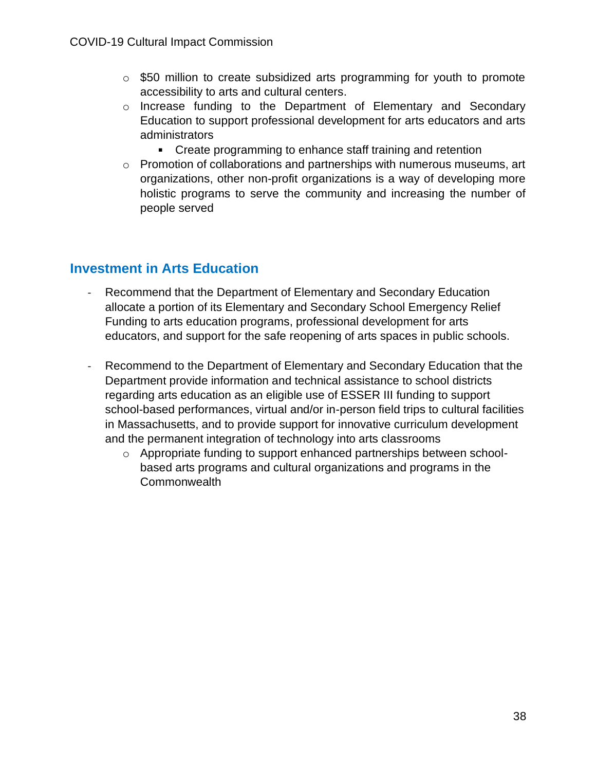- o \$50 million to create subsidized arts programming for youth to promote accessibility to arts and cultural centers.
- o Increase funding to the Department of Elementary and Secondary Education to support professional development for arts educators and arts administrators
	- **Create programming to enhance staff training and retention**
- o Promotion of collaborations and partnerships with numerous museums, art organizations, other non-profit organizations is a way of developing more holistic programs to serve the community and increasing the number of people served

### **Investment in Arts Education**

- Recommend that the Department of Elementary and Secondary Education allocate a portion of its Elementary and Secondary School Emergency Relief Funding to arts education programs, professional development for arts educators, and support for the safe reopening of arts spaces in public schools.
- Recommend to the Department of Elementary and Secondary Education that the Department provide information and technical assistance to school districts regarding arts education as an eligible use of ESSER III funding to support school-based performances, virtual and/or in-person field trips to cultural facilities in Massachusetts, and to provide support for innovative curriculum development and the permanent integration of technology into arts classrooms
	- o Appropriate funding to support enhanced partnerships between schoolbased arts programs and cultural organizations and programs in the **Commonwealth**